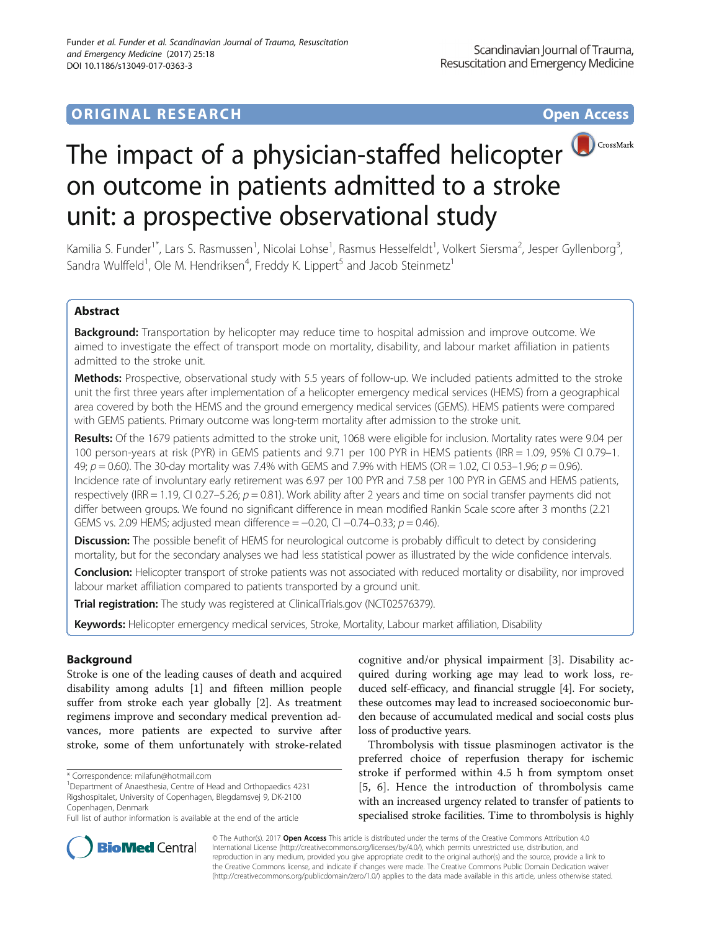## **ORIGINAL RESEARCH CONSUMING ACCESS**



# The impact of a physician-staffed helicopter on outcome in patients admitted to a stroke unit: a prospective observational study

Kamilia S. Funder<sup>1\*</sup>, Lars S. Rasmussen<sup>1</sup>, Nicolai Lohse<sup>1</sup>, Rasmus Hesselfeldt<sup>1</sup>, Volkert Siersma<sup>2</sup>, Jesper Gyllenborg<sup>3</sup> , Sandra Wulffeld<sup>1</sup>, Ole M. Hendriksen<sup>4</sup>, Freddy K. Lippert<sup>5</sup> and Jacob Steinmetz<sup>1</sup>

## Abstract

Background: Transportation by helicopter may reduce time to hospital admission and improve outcome. We aimed to investigate the effect of transport mode on mortality, disability, and labour market affiliation in patients admitted to the stroke unit.

Methods: Prospective, observational study with 5.5 years of follow-up. We included patients admitted to the stroke unit the first three years after implementation of a helicopter emergency medical services (HEMS) from a geographical area covered by both the HEMS and the ground emergency medical services (GEMS). HEMS patients were compared with GEMS patients. Primary outcome was long-term mortality after admission to the stroke unit.

Results: Of the 1679 patients admitted to the stroke unit, 1068 were eligible for inclusion. Mortality rates were 9.04 per 100 person-years at risk (PYR) in GEMS patients and 9.71 per 100 PYR in HEMS patients (IRR = 1.09, 95% CI 0.79–1. 49;  $p = 0.60$ ). The 30-day mortality was 7.4% with GEMS and 7.9% with HEMS (OR = 1.02, CI 0.53-1.96;  $p = 0.96$ ). Incidence rate of involuntary early retirement was 6.97 per 100 PYR and 7.58 per 100 PYR in GEMS and HEMS patients, respectively (IRR = 1.19, CI 0.27–5.26;  $p = 0.81$ ). Work ability after 2 years and time on social transfer payments did not differ between groups. We found no significant difference in mean modified Rankin Scale score after 3 months (2.21 GEMS vs. 2.09 HEMS; adjusted mean difference =  $-0.20$ , CI  $-0.74-0.33$ ;  $p = 0.46$ ).

**Discussion:** The possible benefit of HEMS for neurological outcome is probably difficult to detect by considering mortality, but for the secondary analyses we had less statistical power as illustrated by the wide confidence intervals.

Conclusion: Helicopter transport of stroke patients was not associated with reduced mortality or disability, nor improved labour market affiliation compared to patients transported by a ground unit.

**Trial registration:** The study was registered at ClinicalTrials.gov [\(NCT02576379](https://www.clinicaltrials.gov/ct2/results?term=NCT02576379&Search=Search)).

Keywords: Helicopter emergency medical services, Stroke, Mortality, Labour market affiliation, Disability

## Background

Stroke is one of the leading causes of death and acquired disability among adults [[1](#page-8-0)] and fifteen million people suffer from stroke each year globally [[2\]](#page-8-0). As treatment regimens improve and secondary medical prevention advances, more patients are expected to survive after stroke, some of them unfortunately with stroke-related

<sup>1</sup>Department of Anaesthesia, Centre of Head and Orthopaedics 4231 Rigshospitalet, University of Copenhagen, Blegdamsvej 9, DK-2100 Copenhagen, Denmark

cognitive and/or physical impairment [\[3](#page-8-0)]. Disability acquired during working age may lead to work loss, reduced self-efficacy, and financial struggle [\[4](#page-8-0)]. For society, these outcomes may lead to increased socioeconomic burden because of accumulated medical and social costs plus loss of productive years.

Thrombolysis with tissue plasminogen activator is the preferred choice of reperfusion therapy for ischemic stroke if performed within 4.5 h from symptom onset [[5](#page-8-0), [6\]](#page-8-0). Hence the introduction of thrombolysis came with an increased urgency related to transfer of patients to specialised stroke facilities. Time to thrombolysis is highly



© The Author(s). 2017 **Open Access** This article is distributed under the terms of the Creative Commons Attribution 4.0 International License [\(http://creativecommons.org/licenses/by/4.0/](http://creativecommons.org/licenses/by/4.0/)), which permits unrestricted use, distribution, and reproduction in any medium, provided you give appropriate credit to the original author(s) and the source, provide a link to the Creative Commons license, and indicate if changes were made. The Creative Commons Public Domain Dedication waiver [\(http://creativecommons.org/publicdomain/zero/1.0/](http://creativecommons.org/publicdomain/zero/1.0/)) applies to the data made available in this article, unless otherwise stated.

<sup>\*</sup> Correspondence: [milafun@hotmail.com](mailto:milafun@hotmail.com) <sup>1</sup>

Full list of author information is available at the end of the article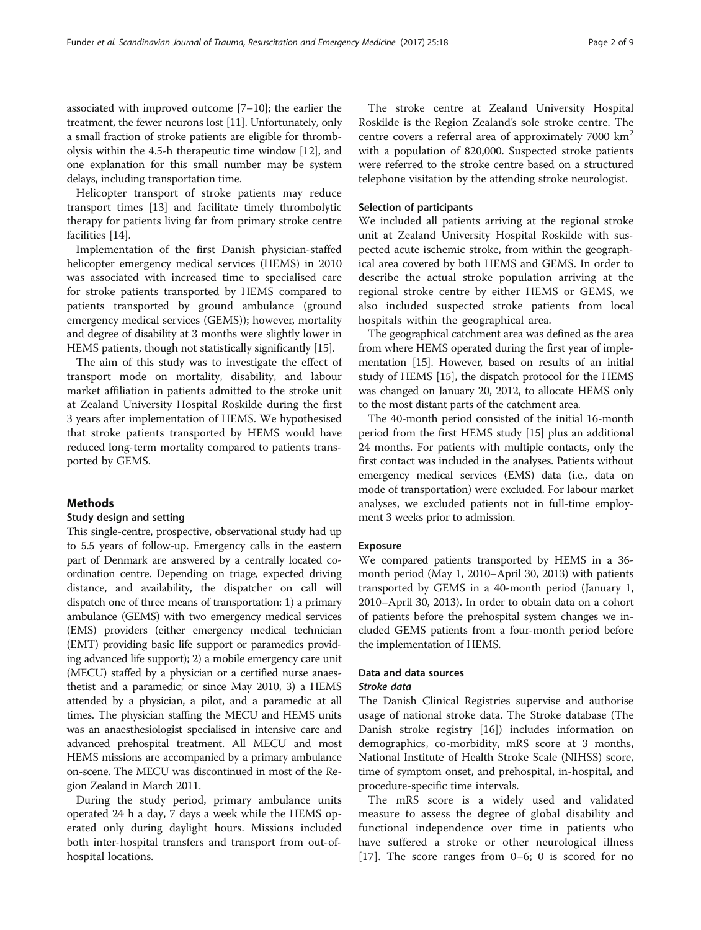associated with improved outcome [[7](#page-8-0)–[10\]](#page-8-0); the earlier the treatment, the fewer neurons lost [\[11](#page-8-0)]. Unfortunately, only a small fraction of stroke patients are eligible for thrombolysis within the 4.5-h therapeutic time window [[12](#page-8-0)], and one explanation for this small number may be system delays, including transportation time.

Helicopter transport of stroke patients may reduce transport times [[13\]](#page-8-0) and facilitate timely thrombolytic therapy for patients living far from primary stroke centre facilities [\[14\]](#page-8-0).

Implementation of the first Danish physician-staffed helicopter emergency medical services (HEMS) in 2010 was associated with increased time to specialised care for stroke patients transported by HEMS compared to patients transported by ground ambulance (ground emergency medical services (GEMS)); however, mortality and degree of disability at 3 months were slightly lower in HEMS patients, though not statistically significantly [[15](#page-8-0)].

The aim of this study was to investigate the effect of transport mode on mortality, disability, and labour market affiliation in patients admitted to the stroke unit at Zealand University Hospital Roskilde during the first 3 years after implementation of HEMS. We hypothesised that stroke patients transported by HEMS would have reduced long-term mortality compared to patients transported by GEMS.

## **Methods**

## Study design and setting

This single-centre, prospective, observational study had up to 5.5 years of follow-up. Emergency calls in the eastern part of Denmark are answered by a centrally located coordination centre. Depending on triage, expected driving distance, and availability, the dispatcher on call will dispatch one of three means of transportation: 1) a primary ambulance (GEMS) with two emergency medical services (EMS) providers (either emergency medical technician (EMT) providing basic life support or paramedics providing advanced life support); 2) a mobile emergency care unit (MECU) staffed by a physician or a certified nurse anaesthetist and a paramedic; or since May 2010, 3) a HEMS attended by a physician, a pilot, and a paramedic at all times. The physician staffing the MECU and HEMS units was an anaesthesiologist specialised in intensive care and advanced prehospital treatment. All MECU and most HEMS missions are accompanied by a primary ambulance on-scene. The MECU was discontinued in most of the Region Zealand in March 2011.

During the study period, primary ambulance units operated 24 h a day, 7 days a week while the HEMS operated only during daylight hours. Missions included both inter-hospital transfers and transport from out-ofhospital locations.

The stroke centre at Zealand University Hospital Roskilde is the Region Zealand's sole stroke centre. The centre covers a referral area of approximately  $7000 \text{ km}^2$ with a population of 820,000. Suspected stroke patients were referred to the stroke centre based on a structured telephone visitation by the attending stroke neurologist.

## Selection of participants

We included all patients arriving at the regional stroke unit at Zealand University Hospital Roskilde with suspected acute ischemic stroke, from within the geographical area covered by both HEMS and GEMS. In order to describe the actual stroke population arriving at the regional stroke centre by either HEMS or GEMS, we also included suspected stroke patients from local hospitals within the geographical area.

The geographical catchment area was defined as the area from where HEMS operated during the first year of implementation [\[15](#page-8-0)]. However, based on results of an initial study of HEMS [[15](#page-8-0)], the dispatch protocol for the HEMS was changed on January 20, 2012, to allocate HEMS only to the most distant parts of the catchment area.

The 40-month period consisted of the initial 16-month period from the first HEMS study [[15](#page-8-0)] plus an additional 24 months. For patients with multiple contacts, only the first contact was included in the analyses. Patients without emergency medical services (EMS) data (i.e., data on mode of transportation) were excluded. For labour market analyses, we excluded patients not in full-time employment 3 weeks prior to admission.

#### Exposure

We compared patients transported by HEMS in a 36 month period (May 1, 2010–April 30, 2013) with patients transported by GEMS in a 40-month period (January 1, 2010–April 30, 2013). In order to obtain data on a cohort of patients before the prehospital system changes we included GEMS patients from a four-month period before the implementation of HEMS.

## Data and data sources

## Stroke data

The Danish Clinical Registries supervise and authorise usage of national stroke data. The Stroke database (The Danish stroke registry [[16\]](#page-8-0)) includes information on demographics, co-morbidity, mRS score at 3 months, National Institute of Health Stroke Scale (NIHSS) score, time of symptom onset, and prehospital, in-hospital, and procedure-specific time intervals.

The mRS score is a widely used and validated measure to assess the degree of global disability and functional independence over time in patients who have suffered a stroke or other neurological illness [[17](#page-8-0)]. The score ranges from 0–6; 0 is scored for no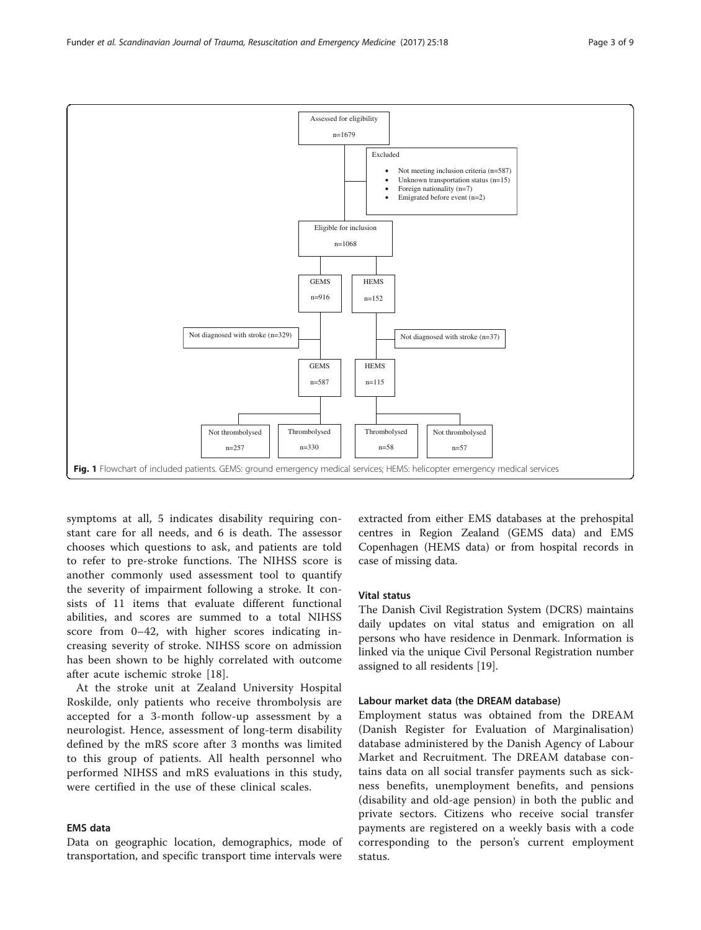symptoms at all, 5 indicates disability requiring constant care for all needs, and 6 is death. The assessor chooses which questions to ask, and patients are told to refer to pre-stroke functions. The NIHSS score is another commonly used assessment tool to quantify the severity of impairment following a stroke. It consists of 11 items that evaluate different functional abilities, and scores are summed to a total NIHSS score from 0–42, with higher scores indicating increasing severity of stroke. NIHSS score on admission has been shown to be highly correlated with outcome after acute ischemic stroke [[18\]](#page-8-0).

Not thrombolysed n=257

At the stroke unit at Zealand University Hospital Roskilde, only patients who receive thrombolysis are accepted for a 3-month follow-up assessment by a neurologist. Hence, assessment of long-term disability defined by the mRS score after 3 months was limited to this group of patients. All health personnel who performed NIHSS and mRS evaluations in this study, were certified in the use of these clinical scales.

## EMS data

Data on geographic location, demographics, mode of transportation, and specific transport time intervals were

extracted from either EMS databases at the prehospital centres in Region Zealand (GEMS data) and EMS Copenhagen (HEMS data) or from hospital records in case of missing data.

## Vital status

Thrombolysed n=58

The Danish Civil Registration System (DCRS) maintains daily updates on vital status and emigration on all persons who have residence in Denmark. Information is linked via the unique Civil Personal Registration number assigned to all residents [\[19](#page-8-0)].

#### Labour market data (the DREAM database)

Not thrombolysed n=57

Employment status was obtained from the DREAM (Danish Register for Evaluation of Marginalisation) database administered by the Danish Agency of Labour Market and Recruitment. The DREAM database contains data on all social transfer payments such as sickness benefits, unemployment benefits, and pensions (disability and old-age pension) in both the public and private sectors. Citizens who receive social transfer payments are registered on a weekly basis with a code corresponding to the person's current employment status.

<span id="page-2-0"></span>

Thrombolysed n=330

Fig. 1 Flowchart of included patients. GEMS: ground emergency medical services; HEMS: helicopter emergency medical services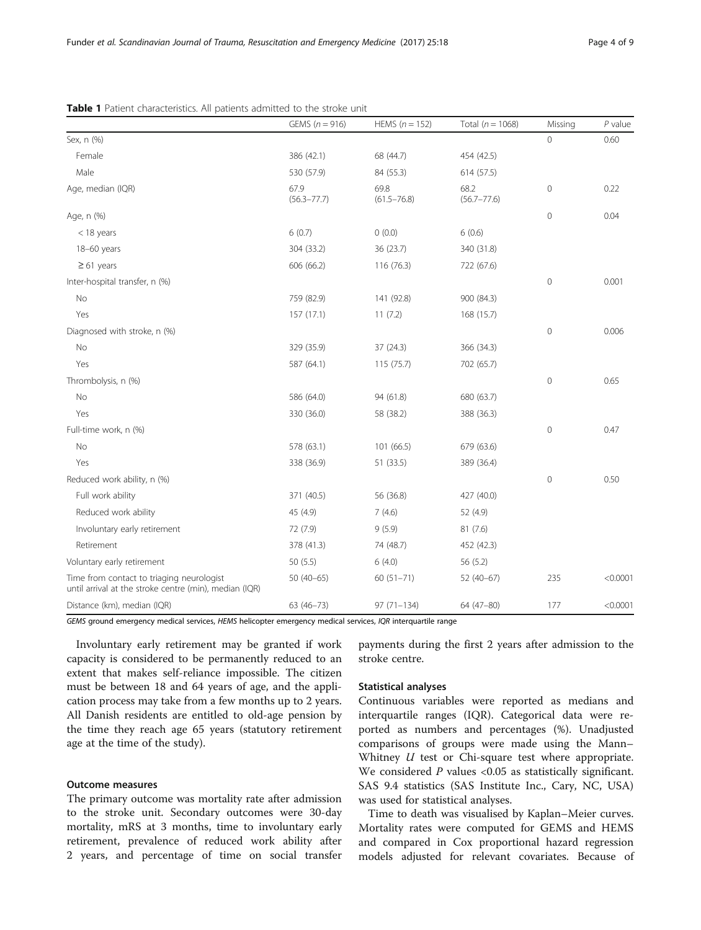|                                                                                                     | GEMS $(n = 916)$        | HEMS $(n = 152)$        | Total ( $n = 1068$ )    | Missing        | $P$ value |
|-----------------------------------------------------------------------------------------------------|-------------------------|-------------------------|-------------------------|----------------|-----------|
| Sex, n (%)                                                                                          |                         |                         |                         | $\Omega$       | 0.60      |
| Female                                                                                              | 386 (42.1)              | 68 (44.7)               | 454 (42.5)              |                |           |
| Male                                                                                                | 530 (57.9)              | 84 (55.3)               | 614 (57.5)              |                |           |
| Age, median (IQR)                                                                                   | 67.9<br>$(56.3 - 77.7)$ | 69.8<br>$(61.5 - 76.8)$ | 68.2<br>$(56.7 - 77.6)$ | $\mathbf 0$    | 0.22      |
| Age, n (%)                                                                                          |                         |                         |                         | $\mathbf 0$    | 0.04      |
| $<$ 18 years                                                                                        | 6(0.7)                  | 0(0.0)                  | 6(0.6)                  |                |           |
| 18-60 years                                                                                         | 304 (33.2)              | 36 (23.7)               | 340 (31.8)              |                |           |
| $\geq 61$ years                                                                                     | 606 (66.2)              | 116 (76.3)              | 722 (67.6)              |                |           |
| Inter-hospital transfer, n (%)                                                                      |                         |                         |                         | $\overline{0}$ | 0.001     |
| No                                                                                                  | 759 (82.9)              | 141 (92.8)              | 900 (84.3)              |                |           |
| Yes                                                                                                 | 157 (17.1)              | 11(7.2)                 | 168 (15.7)              |                |           |
| Diagnosed with stroke, n (%)                                                                        |                         |                         |                         | $\mathbf 0$    | 0.006     |
| No                                                                                                  | 329 (35.9)              | 37 (24.3)               | 366 (34.3)              |                |           |
| Yes                                                                                                 | 587 (64.1)              | 115(75.7)               | 702 (65.7)              |                |           |
| Thrombolysis, n (%)                                                                                 |                         |                         |                         | $\mathbf 0$    | 0.65      |
| No                                                                                                  | 586 (64.0)              | 94 (61.8)               | 680 (63.7)              |                |           |
| Yes                                                                                                 | 330 (36.0)              | 58 (38.2)               | 388 (36.3)              |                |           |
| Full-time work, n (%)                                                                               |                         |                         |                         | $\mathbf 0$    | 0.47      |
| No                                                                                                  | 578 (63.1)              | 101 (66.5)              | 679 (63.6)              |                |           |
| Yes                                                                                                 | 338 (36.9)              | 51 (33.5)               | 389 (36.4)              |                |           |
| Reduced work ability, n (%)                                                                         |                         |                         |                         | $\mathbf 0$    | 0.50      |
| Full work ability                                                                                   | 371 (40.5)              | 56 (36.8)               | 427 (40.0)              |                |           |
| Reduced work ability                                                                                | 45 (4.9)                | 7(4.6)                  | 52 (4.9)                |                |           |
| Involuntary early retirement                                                                        | 72 (7.9)                | 9(5.9)                  | 81(7.6)                 |                |           |
| Retirement                                                                                          | 378 (41.3)              | 74 (48.7)               | 452 (42.3)              |                |           |
| Voluntary early retirement                                                                          | 50(5.5)                 | 6(4.0)                  | 56 (5.2)                |                |           |
| Time from contact to triaging neurologist<br>until arrival at the stroke centre (min), median (IQR) | $50(40-65)$             | $60(51 - 71)$           | $52(40-67)$             | 235            | < 0.0001  |
| Distance (km), median (IQR)                                                                         | $63(46 - 73)$           | $97(71 - 134)$          | 64 (47-80)              | 177            | < 0.0001  |

<span id="page-3-0"></span>Table 1 Patient characteristics. All patients admitted to the stroke unit

GEMS ground emergency medical services, HEMS helicopter emergency medical services, IQR interquartile range

Involuntary early retirement may be granted if work capacity is considered to be permanently reduced to an extent that makes self-reliance impossible. The citizen must be between 18 and 64 years of age, and the application process may take from a few months up to 2 years. All Danish residents are entitled to old-age pension by the time they reach age 65 years (statutory retirement age at the time of the study).

## Outcome measures

The primary outcome was mortality rate after admission to the stroke unit. Secondary outcomes were 30-day mortality, mRS at 3 months, time to involuntary early retirement, prevalence of reduced work ability after 2 years, and percentage of time on social transfer

payments during the first 2 years after admission to the stroke centre.

## Statistical analyses

Continuous variables were reported as medians and interquartile ranges (IQR). Categorical data were reported as numbers and percentages (%). Unadjusted comparisons of groups were made using the Mann– Whitney  $U$  test or Chi-square test where appropriate. We considered  $P$  values <0.05 as statistically significant. SAS 9.4 statistics (SAS Institute Inc., Cary, NC, USA) was used for statistical analyses.

Time to death was visualised by Kaplan–Meier curves. Mortality rates were computed for GEMS and HEMS and compared in Cox proportional hazard regression models adjusted for relevant covariates. Because of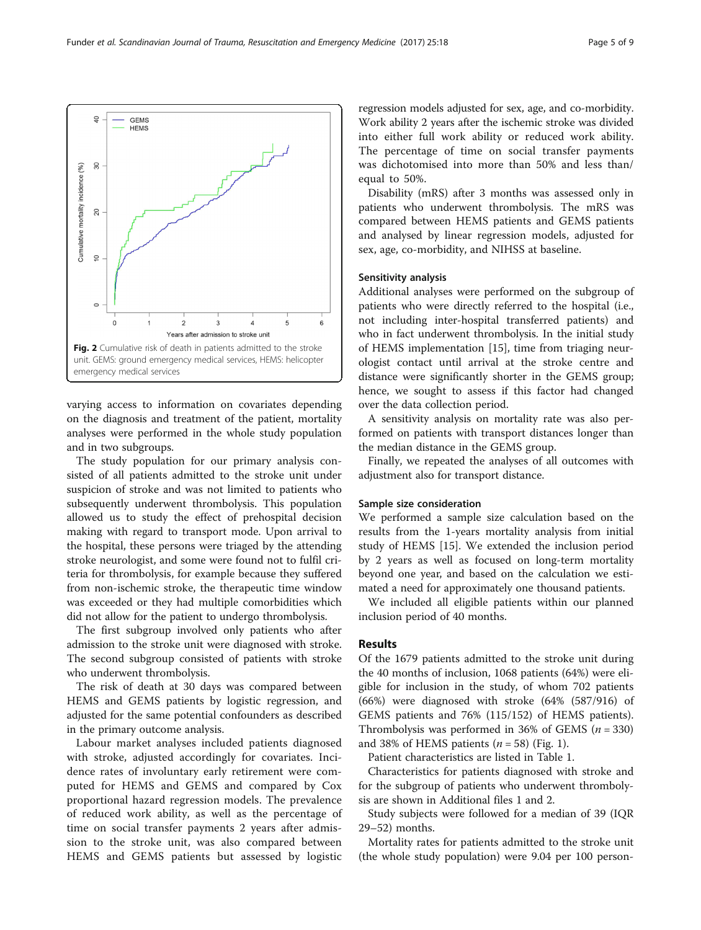varying access to information on covariates depending on the diagnosis and treatment of the patient, mortality analyses were performed in the whole study population and in two subgroups.

The study population for our primary analysis consisted of all patients admitted to the stroke unit under suspicion of stroke and was not limited to patients who subsequently underwent thrombolysis. This population allowed us to study the effect of prehospital decision making with regard to transport mode. Upon arrival to the hospital, these persons were triaged by the attending stroke neurologist, and some were found not to fulfil criteria for thrombolysis, for example because they suffered from non-ischemic stroke, the therapeutic time window was exceeded or they had multiple comorbidities which did not allow for the patient to undergo thrombolysis.

The first subgroup involved only patients who after admission to the stroke unit were diagnosed with stroke. The second subgroup consisted of patients with stroke who underwent thrombolysis.

The risk of death at 30 days was compared between HEMS and GEMS patients by logistic regression, and adjusted for the same potential confounders as described in the primary outcome analysis.

Labour market analyses included patients diagnosed with stroke, adjusted accordingly for covariates. Incidence rates of involuntary early retirement were computed for HEMS and GEMS and compared by Cox proportional hazard regression models. The prevalence of reduced work ability, as well as the percentage of time on social transfer payments 2 years after admission to the stroke unit, was also compared between HEMS and GEMS patients but assessed by logistic

regression models adjusted for sex, age, and co-morbidity. Work ability 2 years after the ischemic stroke was divided into either full work ability or reduced work ability. The percentage of time on social transfer payments was dichotomised into more than 50% and less than/ equal to 50%.

Disability (mRS) after 3 months was assessed only in patients who underwent thrombolysis. The mRS was compared between HEMS patients and GEMS patients and analysed by linear regression models, adjusted for sex, age, co-morbidity, and NIHSS at baseline.

#### Sensitivity analysis

Additional analyses were performed on the subgroup of patients who were directly referred to the hospital (i.e., not including inter-hospital transferred patients) and who in fact underwent thrombolysis. In the initial study of HEMS implementation [\[15](#page-8-0)], time from triaging neurologist contact until arrival at the stroke centre and distance were significantly shorter in the GEMS group; hence, we sought to assess if this factor had changed over the data collection period.

A sensitivity analysis on mortality rate was also performed on patients with transport distances longer than the median distance in the GEMS group.

Finally, we repeated the analyses of all outcomes with adjustment also for transport distance.

#### Sample size consideration

We performed a sample size calculation based on the results from the 1-years mortality analysis from initial study of HEMS [[15\]](#page-8-0). We extended the inclusion period by 2 years as well as focused on long-term mortality beyond one year, and based on the calculation we estimated a need for approximately one thousand patients.

We included all eligible patients within our planned inclusion period of 40 months.

#### Results

Of the 1679 patients admitted to the stroke unit during the 40 months of inclusion, 1068 patients (64%) were eligible for inclusion in the study, of whom 702 patients (66%) were diagnosed with stroke (64% (587/916) of GEMS patients and 76% (115/152) of HEMS patients). Thrombolysis was performed in 36% of GEMS  $(n = 330)$ and 38% of HEMS patients ( $n = 58$ ) (Fig. [1](#page-2-0)).

Patient characteristics are listed in Table [1](#page-3-0).

Characteristics for patients diagnosed with stroke and for the subgroup of patients who underwent thrombolysis are shown in Additional files [1](#page-7-0) and [2](#page-7-0).

Study subjects were followed for a median of 39 (IQR 29–52) months.

Mortality rates for patients admitted to the stroke unit (the whole study population) were 9.04 per 100 person-

<span id="page-4-0"></span>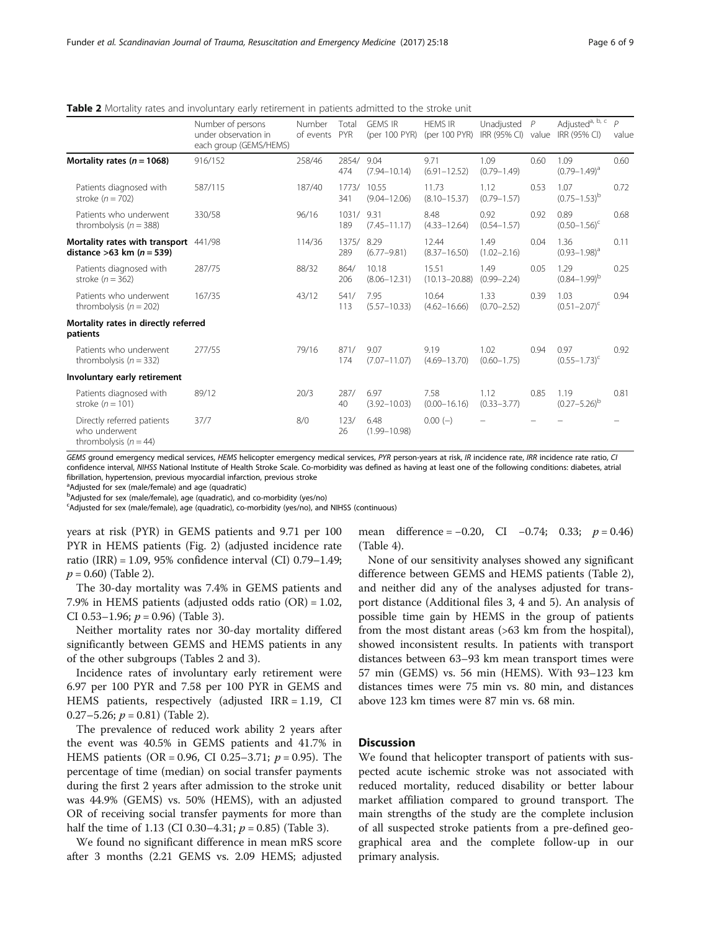| Page 6 of 9 |  |  |
|-------------|--|--|
|             |  |  |

|                                                                        | Number of persons<br>under observation in<br>each group (GEMS/HEMS) | Number<br>of events | Total<br>PYR | <b>GEMS IR</b><br>(per 100 PYR) | <b>HEMS IR</b><br>(per 100 PYR) | Unadjusted<br>IRR (95% CI) | $\overline{P}$<br>value | Adjusted <sup>a, b, c</sup><br>IRR (95% CI) | $\overline{P}$<br>value |
|------------------------------------------------------------------------|---------------------------------------------------------------------|---------------------|--------------|---------------------------------|---------------------------------|----------------------------|-------------------------|---------------------------------------------|-------------------------|
| Mortality rates ( $n = 1068$ )                                         | 916/152                                                             | 258/46              | 2854/<br>474 | 9.04<br>$(7.94 - 10.14)$        | 9.71<br>$(6.91 - 12.52)$        | 1.09<br>$(0.79 - 1.49)$    | 0.60                    | 1.09<br>$(0.79 - 1.49)^{a}$                 | 0.60                    |
| Patients diagnosed with<br>stroke $(n = 702)$                          | 587/115                                                             | 187/40              | 1773/<br>341 | 10.55<br>$(9.04 - 12.06)$       | 11.73<br>$(8.10 - 15.37)$       | 1.12<br>$(0.79 - 1.57)$    | 0.53                    | 1.07<br>$(0.75 - 1.53)^{b}$                 | 0.72                    |
| Patients who underwent<br>thrombolysis ( $n = 388$ )                   | 330/58                                                              | 96/16               | 1031/<br>189 | 9.31<br>$(7.45 - 11.17)$        | 8.48<br>$(4.33 - 12.64)$        | 0.92<br>$(0.54 - 1.57)$    | 0.92                    | 0.89<br>$(0.50 - 1.56)^c$                   | 0.68                    |
| Mortality rates with transport 441/98<br>distance >63 km ( $n = 539$ ) |                                                                     | 114/36              | 1375/<br>289 | 8.29<br>$(6.77 - 9.81)$         | 12.44<br>$(8.37 - 16.50)$       | 1.49<br>$(1.02 - 2.16)$    | 0.04                    | 1.36<br>$(0.93 - 1.98)^{a}$                 | 0.11                    |
| Patients diagnosed with<br>stroke $(n = 362)$                          | 287/75                                                              | 88/32               | 864/<br>206  | 10.18<br>$(8.06 - 12.31)$       | 15.51<br>$(10.13 - 20.88)$      | 1.49<br>$(0.99 - 2.24)$    | 0.05                    | 1.29<br>$(0.84 - 1.99)^{b}$                 | 0.25                    |
| Patients who underwent<br>thrombolysis ( $n = 202$ )                   | 167/35                                                              | 43/12               | 541/<br>113  | 7.95<br>$(5.57 - 10.33)$        | 10.64<br>$(4.62 - 16.66)$       | 1.33<br>$(0.70 - 2.52)$    | 0.39                    | 1.03<br>$(0.51 - 2.07)^{c}$                 | 0.94                    |
| Mortality rates in directly referred<br>patients                       |                                                                     |                     |              |                                 |                                 |                            |                         |                                             |                         |
| Patients who underwent<br>thrombolysis ( $n = 332$ )                   | 277/55                                                              | 79/16               | 871/<br>174  | 9.07<br>$(7.07 - 11.07)$        | 9.19<br>$(4.69 - 13.70)$        | 1.02<br>$(0.60 - 1.75)$    | 0.94                    | 0.97<br>$(0.55 - 1.73)^{c}$                 | 0.92                    |
| Involuntary early retirement                                           |                                                                     |                     |              |                                 |                                 |                            |                         |                                             |                         |
| Patients diagnosed with<br>stroke $(n = 101)$                          | 89/12                                                               | 20/3                | 287/<br>40   | 6.97<br>$(3.92 - 10.03)$        | 7.58<br>$(0.00 - 16.16)$        | 1.12<br>$(0.33 - 3.77)$    | 0.85                    | 1.19<br>$(0.27 - 5.26)^{b}$                 | 0.81                    |
| Directly referred patients<br>who underwent<br>thrombolysis $(n = 44)$ | 37/7                                                                | 8/0                 | 123/<br>26   | 6.48<br>$(1.99 - 10.98)$        | $0.00(-)$                       |                            |                         |                                             |                         |

<span id="page-5-0"></span>**Table 2** Mortality rates and involuntary early retirement in patients admitted to the stroke unit

GEMS ground emergency medical services, HEMS helicopter emergency medical services, PYR person-years at risk, IR incidence rate, IRR incidence rate ratio, CI confidence interval, NIHSS National Institute of Health Stroke Scale. Co-morbidity was defined as having at least one of the following conditions: diabetes, atrial fibrillation, hypertension, previous myocardial infarction, previous stroke

<sup>a</sup>Adjusted for sex (male/female) and age (quadratic)

<sup>b</sup>Adjusted for sex (male/female), age (quadratic), and co-morbidity (yes/no)

<sup>c</sup>Adjusted for sex (male/female), age (quadratic), co-morbidity (yes/no), and NIHSS (continuous)

years at risk (PYR) in GEMS patients and 9.71 per 100 PYR in HEMS patients (Fig. [2](#page-4-0)) (adjusted incidence rate ratio (IRR) = 1.09, 95% confidence interval (CI) 0.79–1.49;  $p = 0.60$ ) (Table 2).

The 30-day mortality was 7.4% in GEMS patients and 7.9% in HEMS patients (adjusted odds ratio (OR) = 1.02, CI 0.53–1.96;  $p = 0.96$ ) (Table [3](#page-6-0)).

Neither mortality rates nor 30-day mortality differed significantly between GEMS and HEMS patients in any of the other subgroups (Tables 2 and [3\)](#page-6-0).

Incidence rates of involuntary early retirement were 6.97 per 100 PYR and 7.58 per 100 PYR in GEMS and HEMS patients, respectively (adjusted IRR = 1.19, CI 0.27–5.26;  $p = 0.81$ ) (Table 2).

The prevalence of reduced work ability 2 years after the event was 40.5% in GEMS patients and 41.7% in HEMS patients (OR = 0.96, CI 0.25–3.71;  $p = 0.95$ ). The percentage of time (median) on social transfer payments during the first 2 years after admission to the stroke unit was 44.9% (GEMS) vs. 50% (HEMS), with an adjusted OR of receiving social transfer payments for more than half the time of 1.13 (CI 0.30–4.31;  $p = 0.85$ ) (Table [3](#page-6-0)).

We found no significant difference in mean mRS score after 3 months (2.21 GEMS vs. 2.09 HEMS; adjusted mean difference =  $-0.20$ , CI  $-0.74$ ; 0.33;  $p = 0.46$ ) (Table [4\)](#page-6-0).

None of our sensitivity analyses showed any significant difference between GEMS and HEMS patients (Table 2), and neither did any of the analyses adjusted for transport distance (Additional files [3](#page-7-0), [4](#page-7-0) and [5\)](#page-7-0). An analysis of possible time gain by HEMS in the group of patients from the most distant areas (>63 km from the hospital), showed inconsistent results. In patients with transport distances between 63–93 km mean transport times were 57 min (GEMS) vs. 56 min (HEMS). With 93–123 km distances times were 75 min vs. 80 min, and distances above 123 km times were 87 min vs. 68 min.

## **Discussion**

We found that helicopter transport of patients with suspected acute ischemic stroke was not associated with reduced mortality, reduced disability or better labour market affiliation compared to ground transport. The main strengths of the study are the complete inclusion of all suspected stroke patients from a pre-defined geographical area and the complete follow-up in our primary analysis.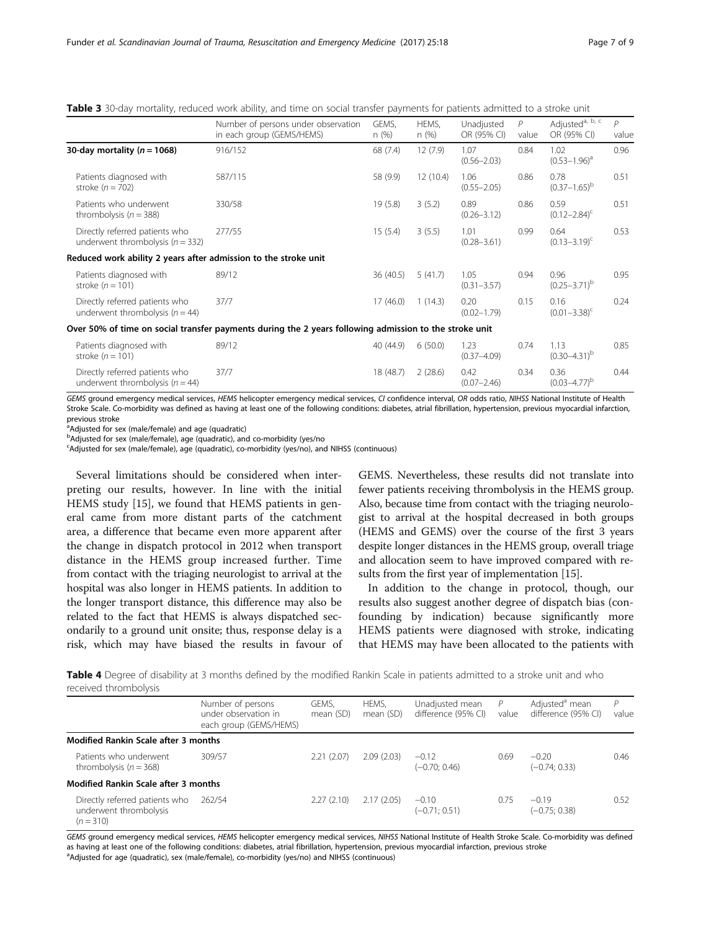<span id="page-6-0"></span>

| Table 3 30-day mortality, reduced work ability, and time on social transfer payments for patients admitted to a stroke unit |  |  |  |  |
|-----------------------------------------------------------------------------------------------------------------------------|--|--|--|--|
|-----------------------------------------------------------------------------------------------------------------------------|--|--|--|--|

|                                                                        | Number of persons under observation<br>in each group (GEMS/HEMS)                                       | GEMS.<br>n(%) | HEMS.<br>n(%) | Unadjusted<br>OR (95% CI) | P<br>value | Adjusted <sup>a, b, c</sup><br>OR (95% CI) | $\overline{P}$<br>value |
|------------------------------------------------------------------------|--------------------------------------------------------------------------------------------------------|---------------|---------------|---------------------------|------------|--------------------------------------------|-------------------------|
| 30-day mortality ( $n = 1068$ )                                        | 916/152                                                                                                | 68 (7.4)      | 12(7.9)       | 1.07<br>$(0.56 - 2.03)$   | 0.84       | 1.02<br>$(0.53 - 1.96)^{a}$                | 0.96                    |
| Patients diagnosed with<br>stroke $(n = 702)$                          | 587/115                                                                                                | 58 (9.9)      | 12(10.4)      | 1.06<br>$(0.55 - 2.05)$   | 0.86       | 0.78<br>$(0.37-1.65)^{b}$                  | 0.51                    |
| Patients who underwent<br>thrombolysis ( $n = 388$ )                   | 330/58                                                                                                 | 19(5.8)       | 3(5.2)        | 0.89<br>$(0.26 - 3.12)$   | 0.86       | 0.59<br>$(0.12 - 2.84)^{c}$                | 0.51                    |
| Directly referred patients who<br>underwent thrombolysis ( $n = 332$ ) | 277/55                                                                                                 | 15(5.4)       | 3(5.5)        | 1.01<br>$(0.28 - 3.61)$   | 0.99       | 0.64<br>$(0.13 - 3.19)^{c}$                | 0.53                    |
| Reduced work ability 2 years after admission to the stroke unit        |                                                                                                        |               |               |                           |            |                                            |                         |
| Patients diagnosed with<br>stroke $(n = 101)$                          | 89/12                                                                                                  | 36 (40.5)     | 5(41.7)       | 1.05<br>$(0.31 - 3.57)$   | 0.94       | 0.96<br>$(0.25 - 3.71)^b$                  | 0.95                    |
| Directly referred patients who<br>underwent thrombolysis ( $n = 44$ )  | 37/7                                                                                                   | 17(46.0)      | 1(14.3)       | 0.20<br>$(0.02 - 1.79)$   | 0.15       | 0.16<br>$(0.01 - 3.38)^{c}$                | 0.24                    |
|                                                                        | Over 50% of time on social transfer payments during the 2 years following admission to the stroke unit |               |               |                           |            |                                            |                         |
| Patients diagnosed with<br>stroke $(n = 101)$                          | 89/12                                                                                                  | 40 (44.9)     | 6(50.0)       | 1.23<br>$(0.37 - 4.09)$   | 0.74       | 1.13<br>$(0.30 - 4.31)^b$                  | 0.85                    |
| Directly referred patients who<br>underwent thrombolysis ( $n = 44$ )  | 37/7                                                                                                   | 18 (48.7)     | 2(28.6)       | 0.42<br>$(0.07 - 2.46)$   | 0.34       | 0.36<br>$(0.03 - 4.77)^{b}$                | 0.44                    |

GEMS ground emergency medical services, HEMS helicopter emergency medical services, CI confidence interval, OR odds ratio, NIHSS National Institute of Health Stroke Scale. Co-morbidity was defined as having at least one of the following conditions: diabetes, atrial fibrillation, hypertension, previous myocardial infarction, previous stroke

a<br>Adjusted for sex (male/female) and age (quadratic)

<sup>b</sup>Adjusted for sex (male/female), age (quadratic), and co-morbidity (yes/no

<sup>c</sup>Adjusted for sex (male/female), age (quadratic), co-morbidity (yes/no), and NIHSS (continuous)

Several limitations should be considered when interpreting our results, however. In line with the initial HEMS study [[15](#page-8-0)], we found that HEMS patients in general came from more distant parts of the catchment area, a difference that became even more apparent after the change in dispatch protocol in 2012 when transport distance in the HEMS group increased further. Time from contact with the triaging neurologist to arrival at the hospital was also longer in HEMS patients. In addition to the longer transport distance, this difference may also be related to the fact that HEMS is always dispatched secondarily to a ground unit onsite; thus, response delay is a risk, which may have biased the results in favour of

GEMS. Nevertheless, these results did not translate into fewer patients receiving thrombolysis in the HEMS group. Also, because time from contact with the triaging neurologist to arrival at the hospital decreased in both groups (HEMS and GEMS) over the course of the first 3 years despite longer distances in the HEMS group, overall triage and allocation seem to have improved compared with results from the first year of implementation [\[15\]](#page-8-0).

In addition to the change in protocol, though, our results also suggest another degree of dispatch bias (confounding by indication) because significantly more HEMS patients were diagnosed with stroke, indicating that HEMS may have been allocated to the patients with

Table 4 Degree of disability at 3 months defined by the modified Rankin Scale in patients admitted to a stroke unit and who received thrombolysis

|                                                                         | Number of persons<br>under observation in<br>each group (GEMS/HEMS) | GEMS.<br>mean (SD) | HEMS,<br>mean (SD) | Unadjusted mean<br>difference (95% CI) | P<br>value | Adjusted <sup>a</sup> mean<br>difference (95% CI) | P<br>value |
|-------------------------------------------------------------------------|---------------------------------------------------------------------|--------------------|--------------------|----------------------------------------|------------|---------------------------------------------------|------------|
| <b>Modified Rankin Scale after 3 months</b>                             |                                                                     |                    |                    |                                        |            |                                                   |            |
| Patients who underwent<br>thrombolysis ( $n = 368$ )                    | 309/57                                                              | 2.21(2.07)         | 2.09(2.03)         | $-0.12$<br>$(-0.70; 0.46)$             | 0.69       | $-0.20$<br>$(-0.74; 0.33)$                        | 0.46       |
| <b>Modified Rankin Scale after 3 months</b>                             |                                                                     |                    |                    |                                        |            |                                                   |            |
| Directly referred patients who<br>underwent thrombolysis<br>$(n = 310)$ | 262/54                                                              | 2.27(2.10)         | 2.17(2.05)         | $-0.10$<br>$(-0.71; 0.51)$             | 0.75       | $-0.19$<br>$(-0.75; 0.38)$                        | 0.52       |

GEMS ground emergency medical services, HEMS helicopter emergency medical services, NIHSS National Institute of Health Stroke Scale. Co-morbidity was defined as having at least one of the following conditions: diabetes, atrial fibrillation, hypertension, previous myocardial infarction, previous stroke <sup>a</sup>Adjusted for age (quadratic), sex (male/female), co-morbidity (yes/no) and NIHSS (continuous)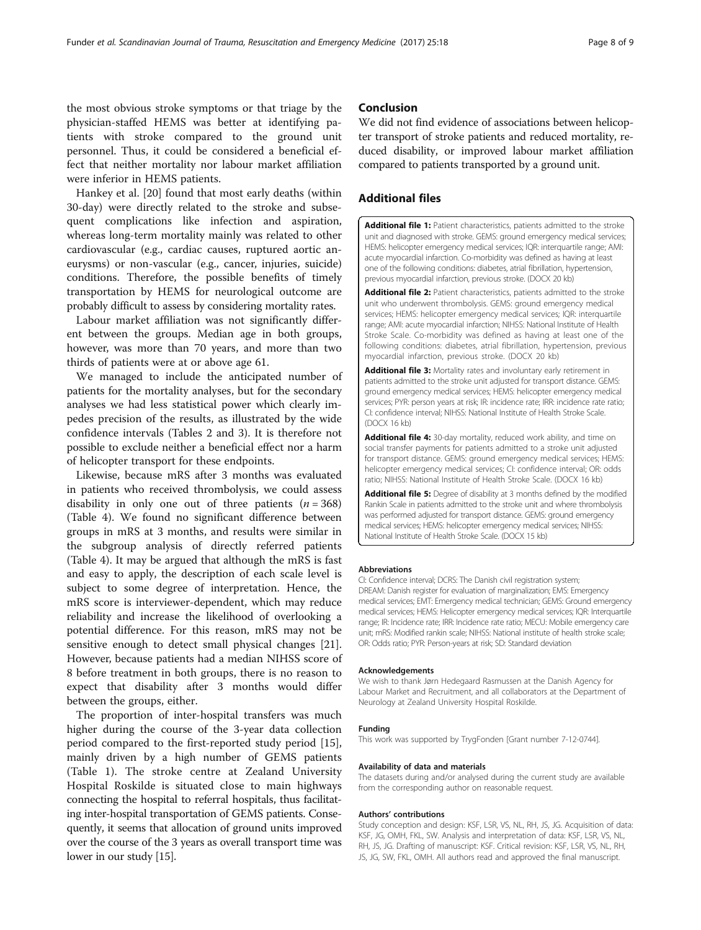<span id="page-7-0"></span>the most obvious stroke symptoms or that triage by the physician-staffed HEMS was better at identifying patients with stroke compared to the ground unit personnel. Thus, it could be considered a beneficial effect that neither mortality nor labour market affiliation were inferior in HEMS patients.

Hankey et al. [[20](#page-8-0)] found that most early deaths (within 30-day) were directly related to the stroke and subsequent complications like infection and aspiration, whereas long-term mortality mainly was related to other cardiovascular (e.g., cardiac causes, ruptured aortic aneurysms) or non-vascular (e.g., cancer, injuries, suicide) conditions. Therefore, the possible benefits of timely transportation by HEMS for neurological outcome are probably difficult to assess by considering mortality rates.

Labour market affiliation was not significantly different between the groups. Median age in both groups, however, was more than 70 years, and more than two thirds of patients were at or above age 61.

We managed to include the anticipated number of patients for the mortality analyses, but for the secondary analyses we had less statistical power which clearly impedes precision of the results, as illustrated by the wide confidence intervals (Tables [2](#page-5-0) and [3](#page-6-0)). It is therefore not possible to exclude neither a beneficial effect nor a harm of helicopter transport for these endpoints.

Likewise, because mRS after 3 months was evaluated in patients who received thrombolysis, we could assess disability in only one out of three patients  $(n = 368)$ (Table [4\)](#page-6-0). We found no significant difference between groups in mRS at 3 months, and results were similar in the subgroup analysis of directly referred patients (Table [4\)](#page-6-0). It may be argued that although the mRS is fast and easy to apply, the description of each scale level is subject to some degree of interpretation. Hence, the mRS score is interviewer-dependent, which may reduce reliability and increase the likelihood of overlooking a potential difference. For this reason, mRS may not be sensitive enough to detect small physical changes [\[21](#page-8-0)]. However, because patients had a median NIHSS score of 8 before treatment in both groups, there is no reason to expect that disability after 3 months would differ between the groups, either.

The proportion of inter-hospital transfers was much higher during the course of the 3-year data collection period compared to the first-reported study period [\[15](#page-8-0)], mainly driven by a high number of GEMS patients (Table [1](#page-3-0)). The stroke centre at Zealand University Hospital Roskilde is situated close to main highways connecting the hospital to referral hospitals, thus facilitating inter-hospital transportation of GEMS patients. Consequently, it seems that allocation of ground units improved over the course of the 3 years as overall transport time was lower in our study [\[15\]](#page-8-0).

## Conclusion

We did not find evidence of associations between helicopter transport of stroke patients and reduced mortality, reduced disability, or improved labour market affiliation compared to patients transported by a ground unit.

## Additional files

[Additional file 1:](dx.doi.org/10.1186/s13049-017-0363-3) Patient characteristics, patients admitted to the stroke unit and diagnosed with stroke. GEMS: ground emergency medical services; HEMS: helicopter emergency medical services; IQR: interquartile range; AMI: acute myocardial infarction. Co-morbidity was defined as having at least one of the following conditions: diabetes, atrial fibrillation, hypertension, previous myocardial infarction, previous stroke. (DOCX 20 kb)

[Additional file 2:](dx.doi.org/10.1186/s13049-017-0363-3) Patient characteristics, patients admitted to the stroke unit who underwent thrombolysis. GEMS: ground emergency medical services; HEMS: helicopter emergency medical services; IQR: interquartile range; AMI: acute myocardial infarction; NIHSS: National Institute of Health Stroke Scale. Co-morbidity was defined as having at least one of the following conditions: diabetes, atrial fibrillation, hypertension, previous myocardial infarction, previous stroke. (DOCX 20 kb)

[Additional file 3:](dx.doi.org/10.1186/s13049-017-0363-3) Mortality rates and involuntary early retirement in patients admitted to the stroke unit adjusted for transport distance. GEMS: ground emergency medical services; HEMS: helicopter emergency medical services; PYR: person years at risk; IR: incidence rate; IRR: incidence rate ratio; CI: confidence interval; NIHSS: National Institute of Health Stroke Scale. (DOCX 16 kb)

[Additional file 4:](dx.doi.org/10.1186/s13049-017-0363-3) 30-day mortality, reduced work ability, and time on social transfer payments for patients admitted to a stroke unit adjusted for transport distance. GEMS: ground emergency medical services; HEMS: helicopter emergency medical services; CI: confidence interval; OR: odds ratio; NIHSS: National Institute of Health Stroke Scale. (DOCX 16 kb)

[Additional file 5:](dx.doi.org/10.1186/s13049-017-0363-3) Degree of disability at 3 months defined by the modified Rankin Scale in patients admitted to the stroke unit and where thrombolysis was performed adjusted for transport distance. GEMS: ground emergency medical services; HEMS: helicopter emergency medical services; NIHSS: National Institute of Health Stroke Scale. (DOCX 15 kb)

#### Abbreviations

CI: Confidence interval; DCRS: The Danish civil registration system; DREAM: Danish register for evaluation of marginalization; EMS: Emergency medical services; EMT: Emergency medical technician; GEMS: Ground emergency medical services; HEMS: Helicopter emergency medical services; IQR: Interquartile range; IR: Incidence rate; IRR: Incidence rate ratio; MECU: Mobile emergency care unit; mRS: Modified rankin scale; NIHSS: National institute of health stroke scale; OR: Odds ratio; PYR: Person-years at risk; SD: Standard deviation

#### Acknowledgements

We wish to thank Jørn Hedegaard Rasmussen at the Danish Agency for Labour Market and Recruitment, and all collaborators at the Department of Neurology at Zealand University Hospital Roskilde.

#### Funding

This work was supported by TrygFonden [Grant number 7-12-0744].

#### Availability of data and materials

The datasets during and/or analysed during the current study are available from the corresponding author on reasonable request.

#### Authors' contributions

Study conception and design: KSF, LSR, VS, NL, RH, JS, JG. Acquisition of data: KSF, JG, OMH, FKL, SW. Analysis and interpretation of data: KSF, LSR, VS, NL, RH, JS, JG. Drafting of manuscript: KSF. Critical revision: KSF, LSR, VS, NL, RH, JS, JG, SW, FKL, OMH. All authors read and approved the final manuscript.